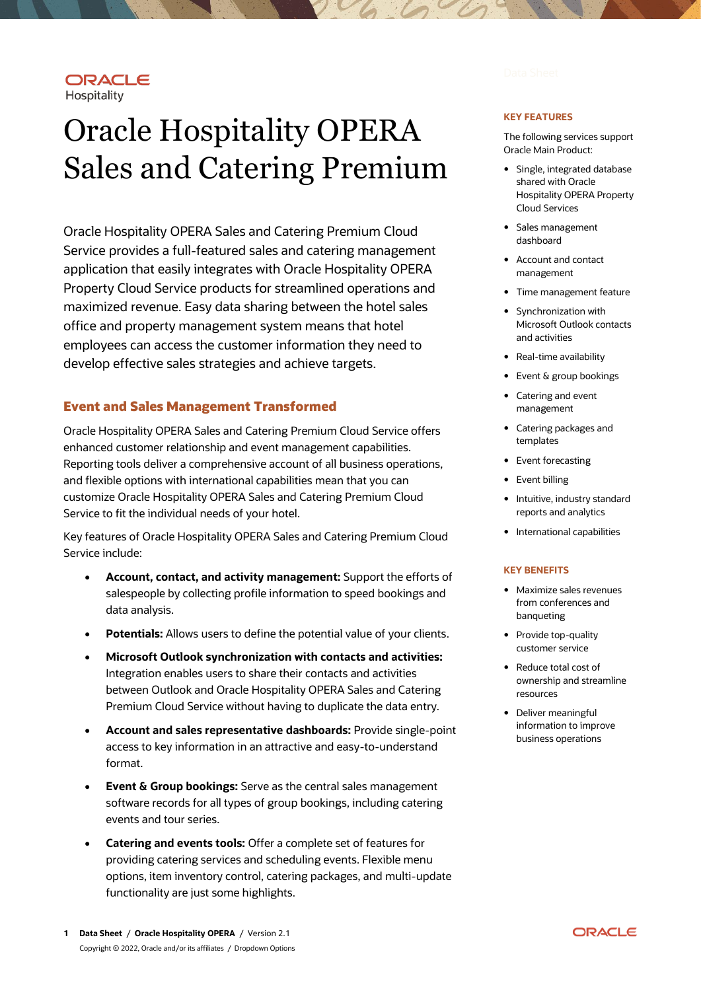## ORACLE Hospitality

# Oracle Hospitality OPERA Sales and Catering Premium

Oracle Hospitality OPERA Sales and Catering Premium Cloud Service provides a full-featured sales and catering management application that easily integrates with Oracle Hospitality OPERA Property Cloud Service products for streamlined operations and maximized revenue. Easy data sharing between the hotel sales office and property management system means that hotel employees can access the customer information they need to develop effective sales strategies and achieve targets.

# **Event and Sales Management Transformed**

Oracle Hospitality OPERA Sales and Catering Premium Cloud Service offers enhanced customer relationship and event management capabilities. Reporting tools deliver a comprehensive account of all business operations, and flexible options with international capabilities mean that you can customize Oracle Hospitality OPERA Sales and Catering Premium Cloud Service to fit the individual needs of your hotel.

Key features of Oracle Hospitality OPERA Sales and Catering Premium Cloud Service include:

- **Account, contact, and activity management:** Support the efforts of salespeople by collecting profile information to speed bookings and data analysis.
- **Potentials:** Allows users to define the potential value of your clients.
- **Microsoft Outlook synchronization with contacts and activities:** Integration enables users to share their contacts and activities between Outlook and Oracle Hospitality OPERA Sales and Catering Premium Cloud Service without having to duplicate the data entry.
- **Account and sales representative dashboards:** Provide single-point access to key information in an attractive and easy-to-understand format.
- **Event & Group bookings:** Serve as the central sales management software records for all types of group bookings, including catering events and tour series.
- **Catering and events tools:** Offer a complete set of features for providing catering services and scheduling events. Flexible menu options, item inventory control, catering packages, and multi-update functionality are just some highlights.

#### **KEY FEATURES**

The following services support Oracle Main Product:

- Single, integrated database shared with Oracle Hospitality OPERA Property Cloud Services
- Sales management dashboard
- Account and contact management
- Time management feature
- Synchronization with Microsoft Outlook contacts and activities
- Real-time availability
- Event & group bookings
- Catering and event management
- Catering packages and templates
- Event forecasting
- Event billing
- Intuitive, industry standard reports and analytics
- International capabilities

#### **KEY BENEFITS**

- Maximize sales revenues from conferences and banqueting
- Provide top-quality customer service
- Reduce total cost of ownership and streamline resources
- Deliver meaningful information to improve business operations

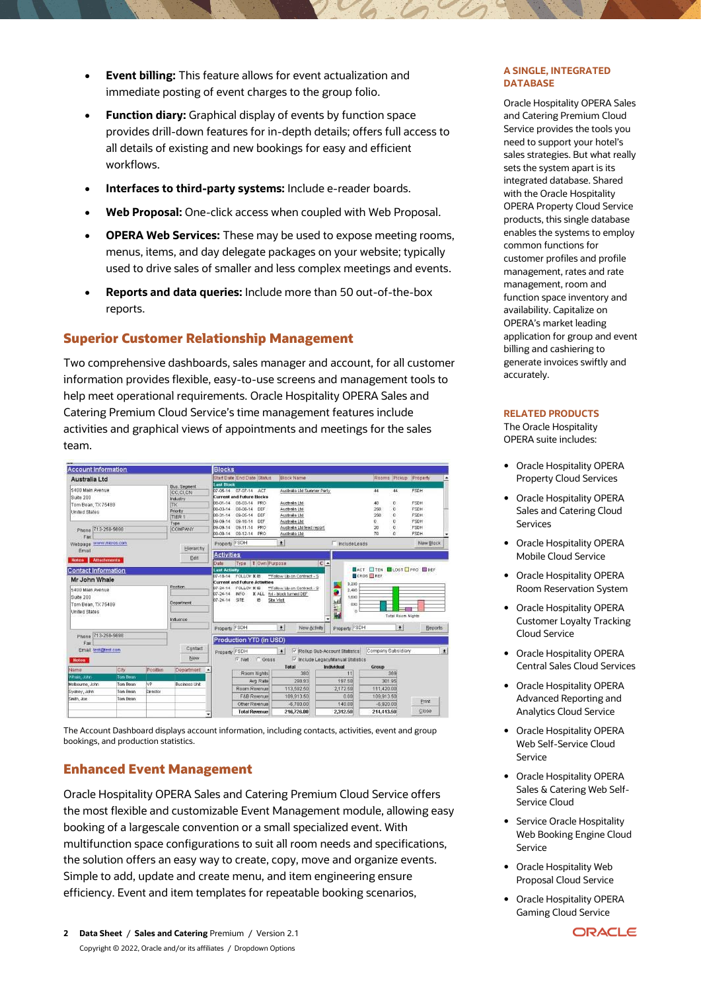- **Event billing:** This feature allows for event actualization and immediate posting of event charges to the group folio.
- **Function diary:** Graphical display of events by function space provides drill-down features for in-depth details; offers full access to all details of existing and new bookings for easy and efficient workflows.
- **Interfaces to third-party systems:** Include e-reader boards.
- **Web Proposal:** One-click access when coupled with Web Proposal.
- **OPERA Web Services:** These may be used to expose meeting rooms, menus, items, and day delegate packages on your website; typically used to drive sales of smaller and less complex meetings and events.
- **Reports and data queries:** Include more than 50 out-of-the-box reports.

# **Superior Customer Relationship Management**

Two comprehensive dashboards, sales manager and account, for all customer information provides flexible, easy-to-use screens and management tools to help meet operational requirements. Oracle Hospitality OPERA Sales and Catering Premium Cloud Service's time management features include activities and graphical views of appointments and meetings for the sales team.



The Account Dashboard displays account information, including contacts, activities, event and group bookings, and production statistics.

# **Enhanced Event Management**

Oracle Hospitality OPERA Sales and Catering Premium Cloud Service offers the most flexible and customizable Event Management module, allowing easy booking of a largescale convention or a small specialized event. With multifunction space configurations to suit all room needs and specifications, the solution offers an easy way to create, copy, move and organize events. Simple to add, update and create menu, and item engineering ensure efficiency. Event and item templates for repeatable booking scenarios,

#### **A SINGLE, INTEGRATED DATABASE**

Oracle Hospitality OPERA Sales and Catering Premium Cloud Service provides the tools you need to support your hotel's sales strategies. But what really sets the system apart is its integrated database. Shared with the Oracle Hospitality OPERA Property Cloud Service products, this single database enables the systems to employ common functions for customer profiles and profile management, rates and rate management, room and function space inventory and availability. Capitalize on OPERA's market leading application for group and event billing and cashiering to generate invoices swiftly and accurately.

#### **RELATED PRODUCTS**

The Oracle Hospitality OPERA suite includes:

- Oracle Hospitality OPERA Property Cloud Services
- Oracle Hospitality OPERA Sales and Catering Cloud Services
- Oracle Hospitality OPERA Mobile Cloud Service
- Oracle Hospitality OPERA Room Reservation System
- Oracle Hospitality OPERA Customer Loyalty Tracking Cloud Service
- Oracle Hospitality OPERA Central Sales Cloud Services
- Oracle Hospitality OPERA Advanced Reporting and Analytics Cloud Service
- Oracle Hospitality OPERA Web Self-Service Cloud Service
- Oracle Hospitality OPERA Sales & Catering Web Self-Service Cloud
- Service Oracle Hospitality Web Booking Engine Cloud Service
- Oracle Hospitality Web Proposal Cloud Service
- Oracle Hospitality OPERA Gaming Cloud Service

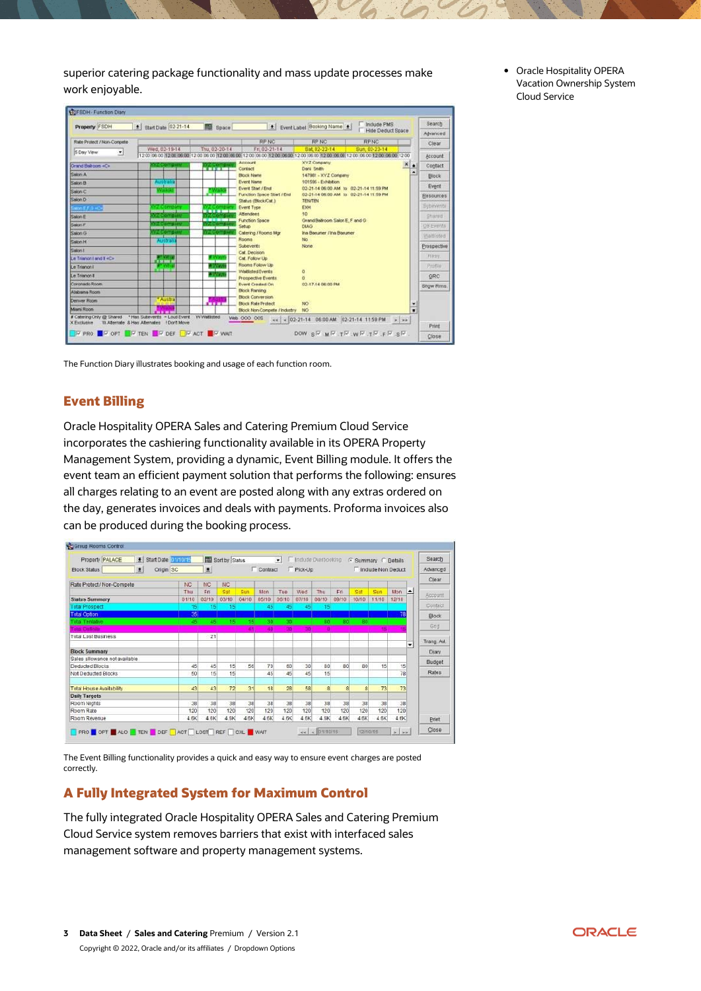superior catering package functionality and mass update processes make work enjoyable.

|                            |                                                                 | <b>NU</b> Space |                                                           | 土 Event Label Booking Name   土                                                                                                            |                   | Search           |
|----------------------------|-----------------------------------------------------------------|-----------------|-----------------------------------------------------------|-------------------------------------------------------------------------------------------------------------------------------------------|-------------------|------------------|
|                            |                                                                 |                 |                                                           |                                                                                                                                           | Hide Deduct Space | Advanced         |
| Rate Protect / Non-Compete |                                                                 |                 | <b>RPNC</b>                                               | <b>RP NC</b><br><b>RPNC</b>                                                                                                               |                   | Clear            |
| S Day View<br>치            | Wed. 02-19-14                                                   | Thu, 02-20-14   | Fri. 02-21-14                                             | Sun. 02-23-14<br>Bat 82-22-14                                                                                                             |                   |                  |
|                            |                                                                 |                 |                                                           | 12:00:06:00 12:00:06:00 12:00 06:00 12:00 06:00 12:00 06:00 12:00:00:00 12:00 06:00 12:00 06:00 12:00 06:00 12:00 06:00 12:00 06:00 12:00 |                   | Account          |
| Grand Balticom «C»         |                                                                 |                 | Account<br>Contact                                        | XYZ Company<br>Dark Smith                                                                                                                 | ٠                 | Contact          |
| <b>Cattary A</b>           |                                                                 |                 | <b>Block Name</b>                                         | 147981 - XYZ Company                                                                                                                      | ٠                 | <b>Block</b>     |
| Salon B                    | Auctralia                                                       |                 | <b>Evert Name</b>                                         | 101595 - Exhibition                                                                                                                       |                   |                  |
| Salon C                    |                                                                 |                 | Evert Stort / End                                         | 02-21-14 06:00 AM to 02-21-14 11:59 PM                                                                                                    |                   | Event            |
| Conner                     |                                                                 | <b>FOR 18</b>   | Function Space Start / End                                | 02-21-14 06:00 AM 55 02-21-14 11:59 PM                                                                                                    |                   | <b>Besources</b> |
| son EF.O +C+               |                                                                 |                 | Status (Block/Cat.)<br><b>Event Type</b>                  | <b>TEN/TEN</b><br>EXH                                                                                                                     |                   | Subevente        |
| <b>Salon E</b>             | <b><i><u>CONTACT AND DESCRIPTIONS OF REAL PROPERTY.</u></i></b> | -----           | Attendence                                                | to                                                                                                                                        |                   | Stured           |
|                            | <b>SITE DISTURBS ON</b>                                         | -----           | <b>Function Space</b>                                     | Grand Balkoon Salon E. F and G.                                                                                                           |                   |                  |
| Salon F                    | <b>CONTACT REPORTED BY</b>                                      |                 | Setup                                                     | DIAG                                                                                                                                      |                   | <b>UB Events</b> |
| Salon G                    |                                                                 |                 | Catering / Rooms Mgr<br>Rooms                             | Ina Baeuner / Ina Basuner<br>No.                                                                                                          |                   | Waltfisted       |
| <b>Salon H</b>             | Anstrali                                                        |                 | Subeverits                                                | None                                                                                                                                      |                   | Prospective      |
| Salon I                    |                                                                 |                 | Cat Decision                                              |                                                                                                                                           |                   |                  |
| Le Trianon I and EviDe     | 1.                                                              |                 | Cat Follow Up                                             |                                                                                                                                           |                   | <b>Rapy</b>      |
| Le Trianon i               | <b>Country</b>                                                  |                 | Rooms Follow Up                                           |                                                                                                                                           |                   | Printie          |
| Le Trianon II              |                                                                 |                 | <b>Wallisted Events</b><br><b>Prospective Events</b>      | ō                                                                                                                                         |                   | GRC.             |
| Coronado Room              |                                                                 |                 | <b>Event Created On</b>                                   | 02-17-14 06:00 PM                                                                                                                         |                   | Show Rms         |
| Alabama Room               |                                                                 |                 | <b>Block Ranking</b>                                      |                                                                                                                                           |                   |                  |
| <b>Centrum Birsten</b>     | * Austral                                                       |                 | <b>Block Conversion</b>                                   |                                                                                                                                           |                   |                  |
| Marri Room                 |                                                                 | <b>COLLECT</b>  | <b>Block Rate Protect</b><br>Block Non-Compete / Industry | NO <sub>1</sub><br>NO                                                                                                                     | Ξ                 |                  |
| # Catering Only @ Shared   | <b>Part 200</b><br>* Has Subeverts - Loud Event                 | WVMatisted      | Web 000 005                                               |                                                                                                                                           |                   |                  |
| <b>X Exclusive</b>         | 10 Alternate & Has Alternates   Don't Move                      |                 |                                                           | $\kappa \kappa$ < 02-21-14 06:00 AM 02-21-14 11:59 PM > >>                                                                                |                   | Print            |

The Function Diary illustrates booking and usage of each function room.

# **Event Billing**

Oracle Hospitality OPERA Sales and Catering Premium Cloud Service incorporates the cashiering functionality available in its OPERA Property Management System, providing a dynamic, Event Billing module. It offers the event team an efficient payment solution that performs the following: ensures all charges relating to an event are posted along with any extras ordered on the day, generates invoices and deals with payments. Proforma invoices also can be produced during the booking process.



The Event Billing functionality provides a quick and easy way to ensure event charges are posted correctly.

# **A Fully Integrated System for Maximum Control**

The fully integrated Oracle Hospitality OPERA Sales and Catering Premium Cloud Service system removes barriers that exist with interfaced sales management software and property management systems.

 Oracle Hospitality OPERA Vacation Ownership System Cloud Service

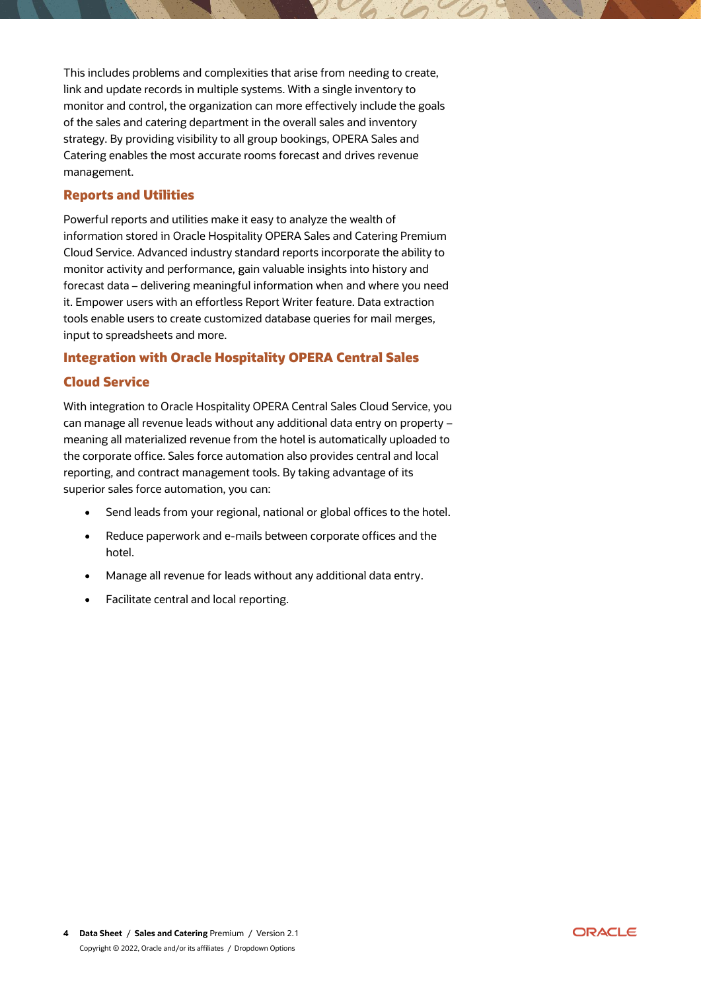This includes problems and complexities that arise from needing to create, link and update records in multiple systems. With a single inventory to monitor and control, the organization can more effectively include the goals of the sales and catering department in the overall sales and inventory strategy. By providing visibility to all group bookings, OPERA Sales and Catering enables the most accurate rooms forecast and drives revenue management.

# **Reports and Utilities**

Powerful reports and utilities make it easy to analyze the wealth of information stored in Oracle Hospitality OPERA Sales and Catering Premium Cloud Service. Advanced industry standard reports incorporate the ability to monitor activity and performance, gain valuable insights into history and forecast data – delivering meaningful information when and where you need it. Empower users with an effortless Report Writer feature. Data extraction tools enable users to create customized database queries for mail merges, input to spreadsheets and more.

# **Integration with Oracle Hospitality OPERA Central Sales**

# **Cloud Service**

With integration to Oracle Hospitality OPERA Central Sales Cloud Service, you can manage all revenue leads without any additional data entry on property – meaning all materialized revenue from the hotel is automatically uploaded to the corporate office. Sales force automation also provides central and local reporting, and contract management tools. By taking advantage of its superior sales force automation, you can:

- Send leads from your regional, national or global offices to the hotel.
- Reduce paperwork and e-mails between corporate offices and the hotel.
- Manage all revenue for leads without any additional data entry.
- Facilitate central and local reporting.